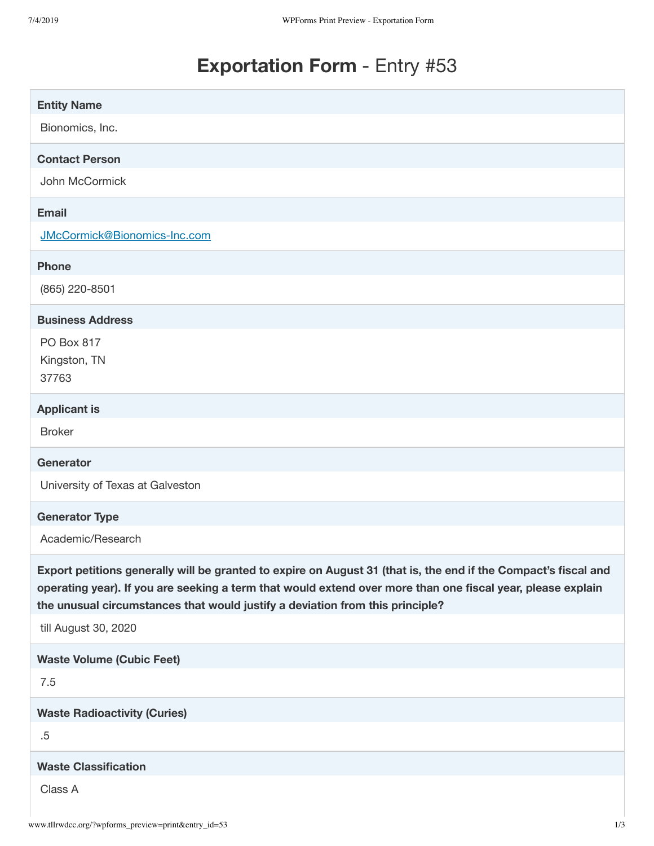# **Exportation Form** - Entry #53

| <b>Entity Name</b>                                                                                                                                                                                                                                                                                              |
|-----------------------------------------------------------------------------------------------------------------------------------------------------------------------------------------------------------------------------------------------------------------------------------------------------------------|
| Bionomics, Inc.                                                                                                                                                                                                                                                                                                 |
| <b>Contact Person</b>                                                                                                                                                                                                                                                                                           |
| John McCormick                                                                                                                                                                                                                                                                                                  |
| <b>Email</b>                                                                                                                                                                                                                                                                                                    |
| JMcCormick@Bionomics-Inc.com                                                                                                                                                                                                                                                                                    |
| <b>Phone</b>                                                                                                                                                                                                                                                                                                    |
| (865) 220-8501                                                                                                                                                                                                                                                                                                  |
| <b>Business Address</b>                                                                                                                                                                                                                                                                                         |
| PO Box 817                                                                                                                                                                                                                                                                                                      |
| Kingston, TN<br>37763                                                                                                                                                                                                                                                                                           |
|                                                                                                                                                                                                                                                                                                                 |
| <b>Applicant is</b>                                                                                                                                                                                                                                                                                             |
| <b>Broker</b>                                                                                                                                                                                                                                                                                                   |
| <b>Generator</b>                                                                                                                                                                                                                                                                                                |
| University of Texas at Galveston                                                                                                                                                                                                                                                                                |
| <b>Generator Type</b>                                                                                                                                                                                                                                                                                           |
| Academic/Research                                                                                                                                                                                                                                                                                               |
| Export petitions generally will be granted to expire on August 31 (that is, the end if the Compact's fiscal and<br>operating year). If you are seeking a term that would extend over more than one fiscal year, please explain<br>the unusual circumstances that would justify a deviation from this principle? |
| till August 30, 2020                                                                                                                                                                                                                                                                                            |
|                                                                                                                                                                                                                                                                                                                 |
| <b>Waste Volume (Cubic Feet)</b>                                                                                                                                                                                                                                                                                |
| 7.5                                                                                                                                                                                                                                                                                                             |
| <b>Waste Radioactivity (Curies)</b>                                                                                                                                                                                                                                                                             |
| .5                                                                                                                                                                                                                                                                                                              |
| <b>Waste Classification</b>                                                                                                                                                                                                                                                                                     |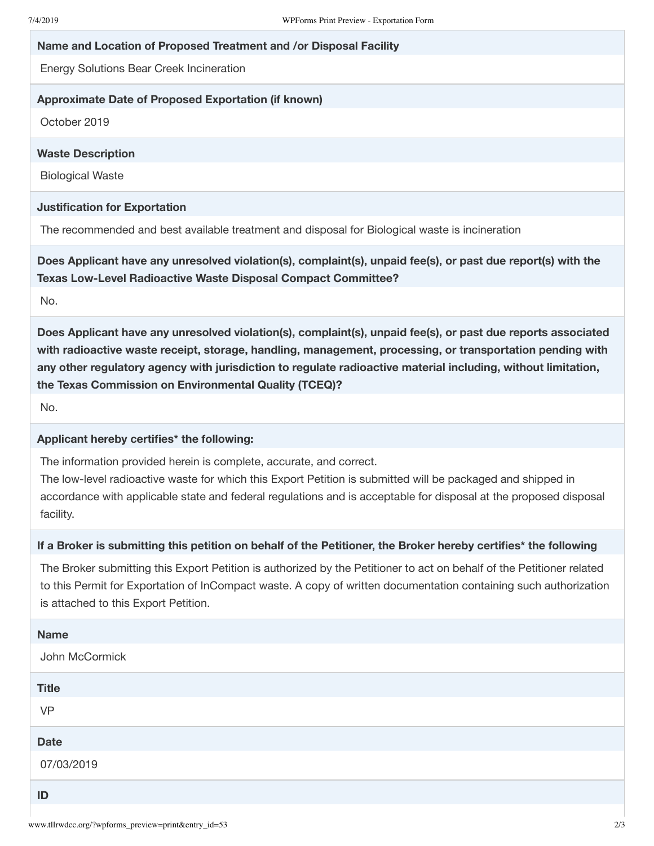## **Name and Location of Proposed Treatment and /or Disposal Facility**

Energy Solutions Bear Creek Incineration

#### **Approximate Date of Proposed Exportation (if known)**

October 2019

## **Waste Description**

Biological Waste

#### **Justification for Exportation**

The recommended and best available treatment and disposal for Biological waste is incineration

**Does Applicant have any unresolved violation(s), complaint(s), unpaid fee(s), or past due report(s) with the Texas Low-Level Radioactive Waste Disposal Compact Committee?**

No.

**Does Applicant have any unresolved violation(s), complaint(s), unpaid fee(s), or past due reports associated with radioactive waste receipt, storage, handling, management, processing, or transportation pending with any other regulatory agency with jurisdiction to regulate radioactive material including, without limitation, the Texas Commission on Environmental Quality (TCEQ)?**

No.

## **Applicant hereby certifies\* the following:**

The information provided herein is complete, accurate, and correct.

The low-level radioactive waste for which this Export Petition is submitted will be packaged and shipped in accordance with applicable state and federal regulations and is acceptable for disposal at the proposed disposal facility.

#### If a Broker is submitting this petition on behalf of the Petitioner, the Broker hereby certifies\* the following

The Broker submitting this Export Petition is authorized by the Petitioner to act on behalf of the Petitioner related to this Permit for Exportation of InCompact waste. A copy of written documentation containing such authorization is attached to this Export Petition.

| <b>Name</b>    |
|----------------|
| John McCormick |
| <b>Title</b>   |
| <b>VP</b>      |
| <b>Date</b>    |
| 07/03/2019     |
| ID             |